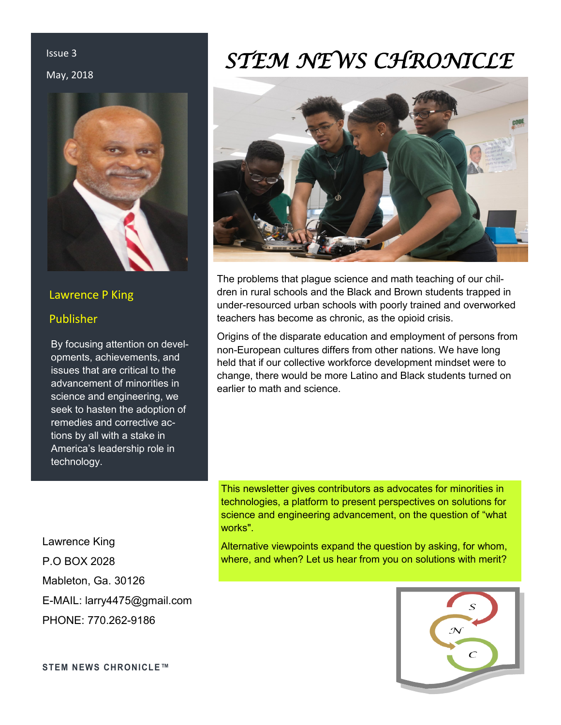# Issue 3

#### May, 2018



# Lawrence P King

# Publisher

By focusing attention on developments, achievements, and issues that are critical to the advancement of minorities in science and engineering, we seek to hasten the adoption of remedies and corrective actions by all with a stake in America's leadership role in technology.

Lawrence King P.O BOX 2028 Mableton, Ga. 30126 E-MAIL: larry4475@gmail.com PHONE: 770.262-9186

# *STEM NEWS CHRONICLE*



The problems that plague science and math teaching of our children in rural schools and the Black and Brown students trapped in under-resourced urban schools with poorly trained and overworked teachers has become as chronic, as the opioid crisis.

Origins of the disparate education and employment of persons from non-European cultures differs from other nations. We have long held that if our collective workforce development mindset were to change, there would be more Latino and Black students turned on earlier to math and science.

This newsletter gives contributors as advocates for minorities in technologies, a platform to present perspectives on solutions for science and engineering advancement, on the question of "what works".

Alternative viewpoints expand the question by asking, for whom, where, and when? Let us hear from you on solutions with merit?



**STEM NEWS CHRONICLE™**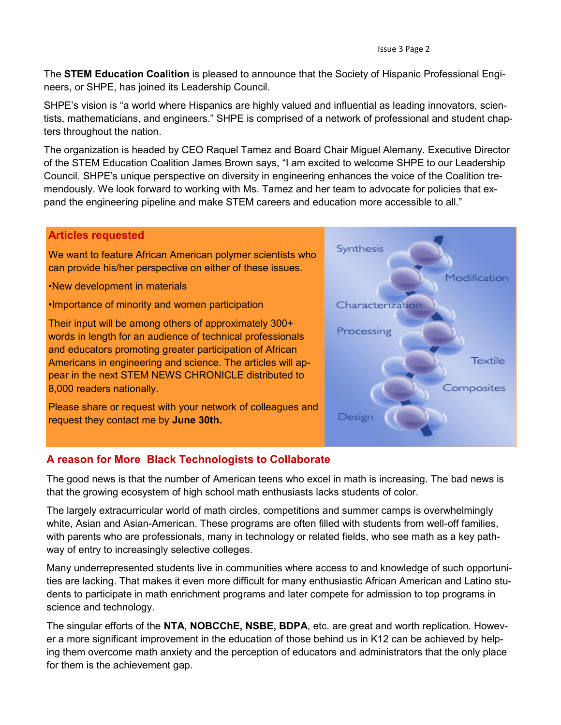The **STEM Education Coalition** is pleased to announce that the Society of Hispanic Professional Engineers, or SHPE, has joined its Leadership Council.

SHPE's vision is "a world where Hispanics are highly valued and influential as leading innovators, scientists, mathematicians, and engineers." SHPE is comprised of a network of professional and student chapters throughout the nation.

The organization is headed by CEO Raquel Tamez and Board Chair Miguel Alemany. Executive Director of the STEM Education Coalition James Brown says, "I am excited to welcome SHPE to our Leadership Council. SHPE's unique perspective on diversity in engineering enhances the voice of the Coalition tremendously. We look forward to working with Ms. Tamez and her team to advocate for policies that expand the engineering pipeline and make STEM careers and education more accessible to all."

# **Articles requested**

We want to feature African American polymer scientists who can provide his/her perspective on either of these issues.

•New development in materials

•Importance of minority and women participation

Their input will be among others of approximately 300+ words in length for an audience of technical professionals and educators promoting greater participation of African Americans in engineering and science. The articles will appear in the next STEM NEWS CHRONICLE distributed to 8,000 readers nationally.

Please share or request with your network of colleagues and request they contact me by **June 30th.**



# **A reason for More Black Technologists to Collaborate**

The good news is that the number of American teens who excel in math is increasing. The bad news is that the growing ecosystem of high school math enthusiasts lacks students of color.

The largely extracurricular world of math circles, competitions and summer camps is overwhelmingly white, Asian and Asian-American. These programs are often filled with students from well-off families, with parents who are professionals, many in technology or related fields, who see math as a key pathway of entry to increasingly selective colleges.

Many underrepresented students live in communities where access to and knowledge of such opportunities are lacking. That makes it even more difficult for many enthusiastic African American and Latino students to participate in math enrichment programs and later compete for admission to top programs in science and technology.

The singular efforts of the **NTA, NOBCChE, NSBE, BDPA**, etc. are great and worth replication. However a more significant improvement in the education of those behind us in K12 can be achieved by helping them overcome math anxiety and the perception of educators and administrators that the only place for them is the achievement gap.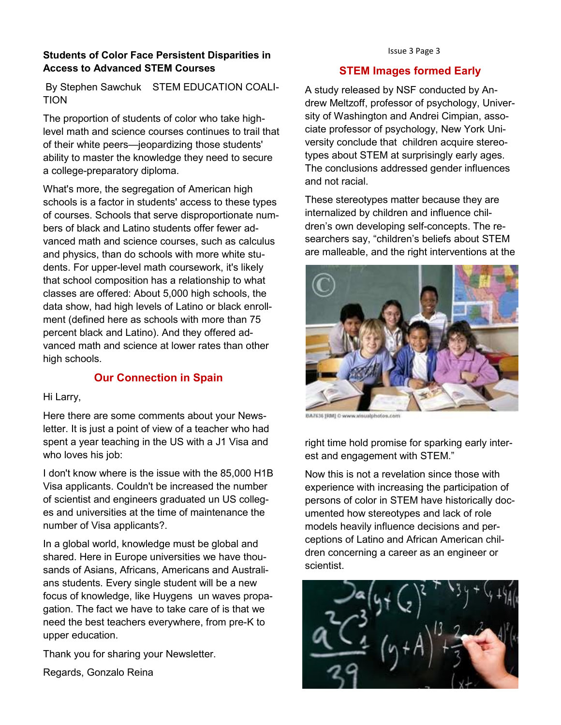# Issue 3 Page 3 **Students of Color Face Persistent Disparities in Access to Advanced STEM Courses**

By Stephen Sawchuk STEM EDUCATION COALI-TION

The proportion of students of color who take highlevel math and science courses continues to trail that of their white peers—jeopardizing those students' ability to master the knowledge they need to secure a college-preparatory diploma.

What's more, the segregation of American high schools is a factor in students' access to these types of courses. Schools that serve disproportionate numbers of black and Latino students offer fewer advanced math and science courses, such as calculus and physics, than do schools with more white students. For upper-level math coursework, it's likely that school composition has a relationship to what classes are offered: About 5,000 high schools, the data show, had high levels of Latino or black enrollment (defined here as schools with more than 75 percent black and Latino). And they offered advanced math and science at lower rates than other high schools.

# **Our Connection in Spain**

#### Hi Larry,

Here there are some comments about your Newsletter. It is just a point of view of a teacher who had spent a year teaching in the US with a J1 Visa and who loves his job:

I don't know where is the issue with the 85,000 H1B Visa applicants. Couldn't be increased the number of scientist and engineers graduated un US colleges and universities at the time of maintenance the number of Visa applicants?.

In a global world, knowledge must be global and shared. Here in Europe universities we have thousands of Asians, Africans, Americans and Australians students. Every single student will be a new focus of knowledge, like Huygens un waves propagation. The fact we have to take care of is that we need the best teachers everywhere, from pre-K to upper education.

Thank you for sharing your Newsletter.

Regards, Gonzalo Reina

### **STEM Images formed Early**

A study released by NSF conducted by Andrew Meltzoff, professor of psychology, University of Washington and Andrei Cimpian, associate professor of psychology, New York University conclude that children acquire stereotypes about STEM at surprisingly early ages. The conclusions addressed gender influences and not racial.

These stereotypes matter because they are internalized by children and influence children's own developing self-concepts. The researchers say, "children's beliefs about STEM are malleable, and the right interventions at the



BA7636 [RM] C www.vir

right time hold promise for sparking early interest and engagement with STEM."

Now this is not a revelation since those with experience with increasing the participation of persons of color in STEM have historically documented how stereotypes and lack of role models heavily influence decisions and perceptions of Latino and African American children concerning a career as an engineer or scientist.